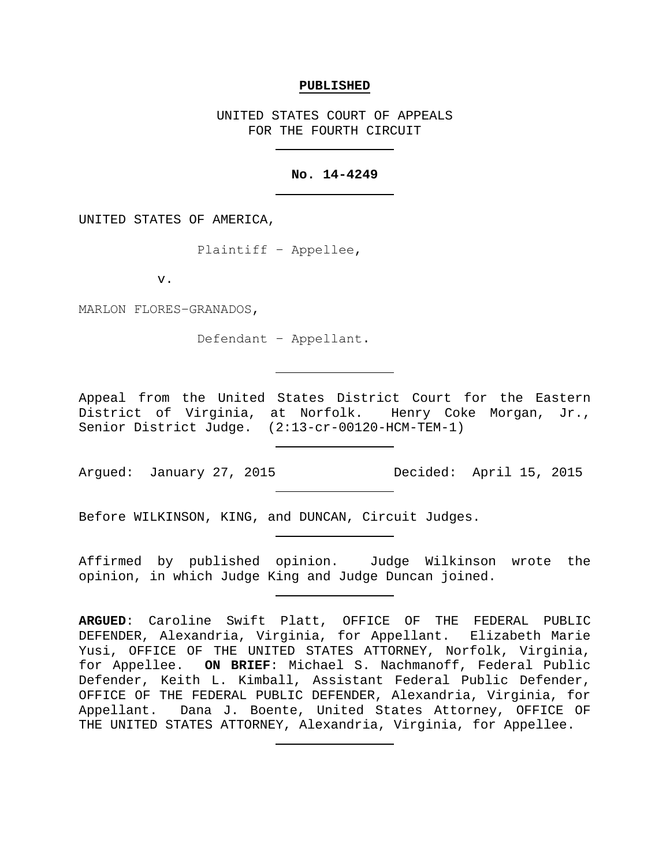#### **PUBLISHED**

UNITED STATES COURT OF APPEALS FOR THE FOURTH CIRCUIT

# **No. 14-4249**

UNITED STATES OF AMERICA,

Plaintiff − Appellee,

v.

MARLON FLORES−GRANADOS,

Defendant − Appellant.

Appeal from the United States District Court for the Eastern District of Virginia, at Norfolk. Henry Coke Morgan, Jr., Senior District Judge. (2:13-cr-00120-HCM-TEM-1)

Argued: January 27, 2015 Decided: April 15, 2015

Before WILKINSON, KING, and DUNCAN, Circuit Judges.

Affirmed by published opinion. Judge Wilkinson wrote the opinion, in which Judge King and Judge Duncan joined.

**ARGUED**: Caroline Swift Platt, OFFICE OF THE FEDERAL PUBLIC DEFENDER, Alexandria, Virginia, for Appellant. Elizabeth Marie Yusi, OFFICE OF THE UNITED STATES ATTORNEY, Norfolk, Virginia, for Appellee. **ON BRIEF**: Michael S. Nachmanoff, Federal Public Defender, Keith L. Kimball, Assistant Federal Public Defender, OFFICE OF THE FEDERAL PUBLIC DEFENDER, Alexandria, Virginia, for Appellant. Dana J. Boente, United States Attorney, OFFICE OF THE UNITED STATES ATTORNEY, Alexandria, Virginia, for Appellee.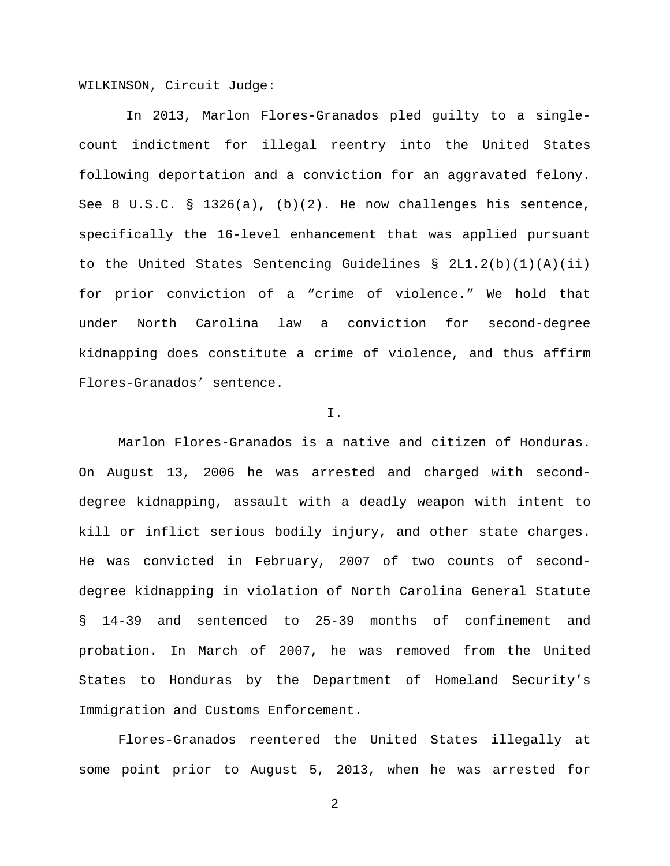WILKINSON, Circuit Judge:

In 2013, Marlon Flores-Granados pled guilty to a singlecount indictment for illegal reentry into the United States following deportation and a conviction for an aggravated felony. See 8 U.S.C. § 1326(a),  $(b)(2)$ . He now challenges his sentence, specifically the 16-level enhancement that was applied pursuant to the United States Sentencing Guidelines § 2L1.2(b)(1)(A)(ii) for prior conviction of a "crime of violence." We hold that under North Carolina law a conviction for second-degree kidnapping does constitute a crime of violence, and thus affirm Flores-Granados' sentence.

### I.

Marlon Flores-Granados is a native and citizen of Honduras. On August 13, 2006 he was arrested and charged with seconddegree kidnapping, assault with a deadly weapon with intent to kill or inflict serious bodily injury, and other state charges. He was convicted in February, 2007 of two counts of seconddegree kidnapping in violation of North Carolina General Statute § 14-39 and sentenced to 25-39 months of confinement and probation. In March of 2007, he was removed from the United States to Honduras by the Department of Homeland Security's Immigration and Customs Enforcement.

Flores-Granados reentered the United States illegally at some point prior to August 5, 2013, when he was arrested for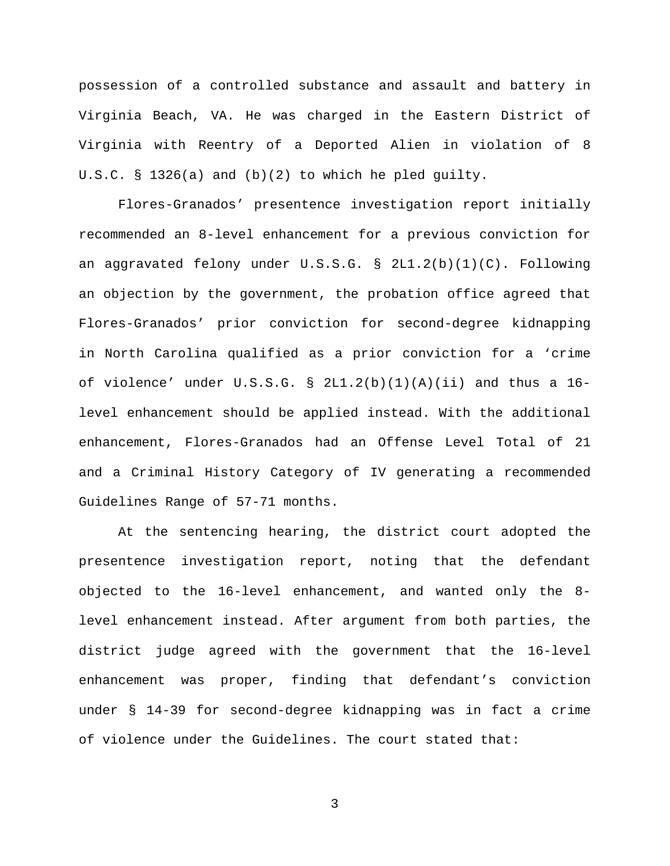possession of a controlled substance and assault and battery in Virginia Beach, VA. He was charged in the Eastern District of Virginia with Reentry of a Deported Alien in violation of 8 U.S.C. § 1326(a) and (b)(2) to which he pled guilty.

Flores-Granados' presentence investigation report initially recommended an 8-level enhancement for a previous conviction for an aggravated felony under U.S.S.G. § 2L1.2(b)(1)(C). Following an objection by the government, the probation office agreed that Flores-Granados' prior conviction for second-degree kidnapping in North Carolina qualified as a prior conviction for a 'crime of violence' under  $U.S.S.G. \S 2L1.2(b)(1)(A)(ii)$  and thus a 16level enhancement should be applied instead. With the additional enhancement, Flores-Granados had an Offense Level Total of 21 and a Criminal History Category of IV generating a recommended Guidelines Range of 57-71 months.

At the sentencing hearing, the district court adopted the presentence investigation report, noting that the defendant objected to the 16-level enhancement, and wanted only the 8 level enhancement instead. After argument from both parties, the district judge agreed with the government that the 16-level enhancement was proper, finding that defendant's conviction under § 14-39 for second-degree kidnapping was in fact a crime of violence under the Guidelines. The court stated that: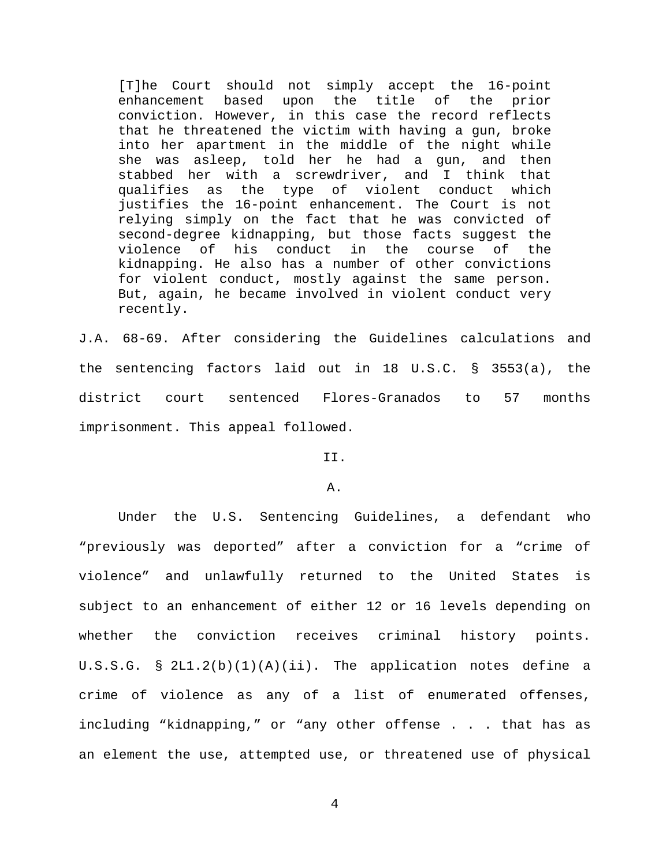[T]he Court should not simply accept the 16-point enhancement based upon the title of the prior conviction. However, in this case the record reflects that he threatened the victim with having a gun, broke into her apartment in the middle of the night while she was asleep, told her he had a gun, and then stabbed her with a screwdriver, and I think that qualifies as the type of violent conduct which justifies the 16-point enhancement. The Court is not relying simply on the fact that he was convicted of second-degree kidnapping, but those facts suggest the<br>violence of his conduct in the course of the violence of his conduct in the course of the kidnapping. He also has a number of other convictions for violent conduct, mostly against the same person. But, again, he became involved in violent conduct very recently.

J.A. 68-69. After considering the Guidelines calculations and the sentencing factors laid out in 18 U.S.C. § 3553(a), the district court sentenced Flores-Granados to 57 months imprisonment. This appeal followed.

II.

A.

Under the U.S. Sentencing Guidelines, a defendant who "previously was deported" after a conviction for a "crime of violence" and unlawfully returned to the United States is subject to an enhancement of either 12 or 16 levels depending on whether the conviction receives criminal history points. U.S.S.G. § 2L1.2(b)(1)(A)(ii). The application notes define a crime of violence as any of a list of enumerated offenses, including "kidnapping," or "any other offense . . . that has as an element the use, attempted use, or threatened use of physical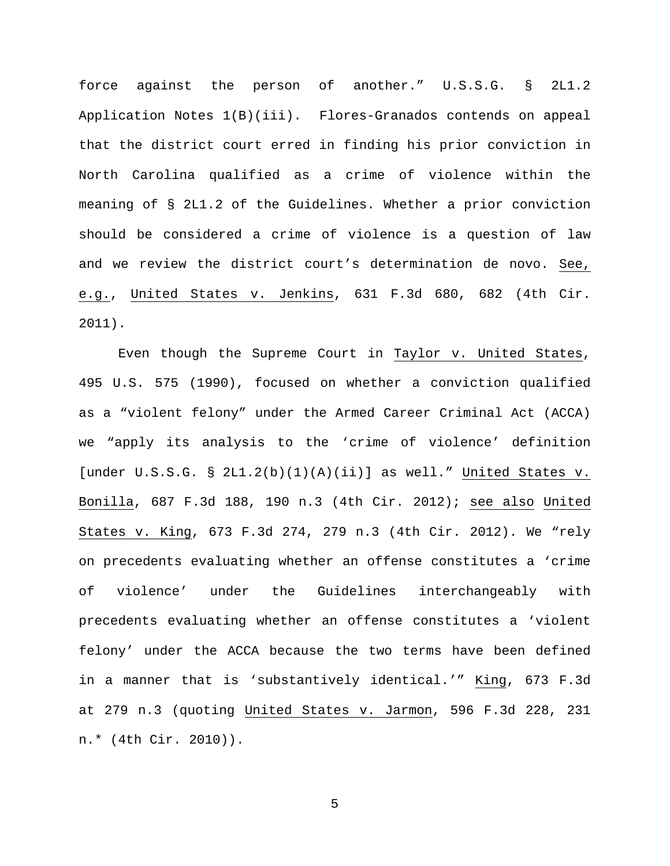force against the person of another." U.S.S.G. § 2L1.2 Application Notes 1(B)(iii). Flores-Granados contends on appeal that the district court erred in finding his prior conviction in North Carolina qualified as a crime of violence within the meaning of § 2L1.2 of the Guidelines. Whether a prior conviction should be considered a crime of violence is a question of law and we review the district court's determination de novo. See, e.g., United States v. Jenkins, 631 F.3d 680, 682 (4th Cir. 2011).

Even though the Supreme Court in Taylor v. United States, 495 U.S. 575 (1990), focused on whether a conviction qualified as a "violent felony" under the Armed Career Criminal Act (ACCA) we "apply its analysis to the 'crime of violence' definition [under  $U.S.S.G. \S 2L1.2(b)(1)(A)(ii)$ ] as well." United States v. Bonilla, 687 F.3d 188, 190 n.3 (4th Cir. 2012); see also United States v. King, 673 F.3d 274, 279 n.3 (4th Cir. 2012). We "rely on precedents evaluating whether an offense constitutes a 'crime of violence' under the Guidelines interchangeably with precedents evaluating whether an offense constitutes a 'violent felony' under the ACCA because the two terms have been defined in a manner that is 'substantively identical.'" King, 673 F.3d at 279 n.3 (quoting United States v. Jarmon, 596 F.3d 228, 231 n.\* (4th Cir. 2010)).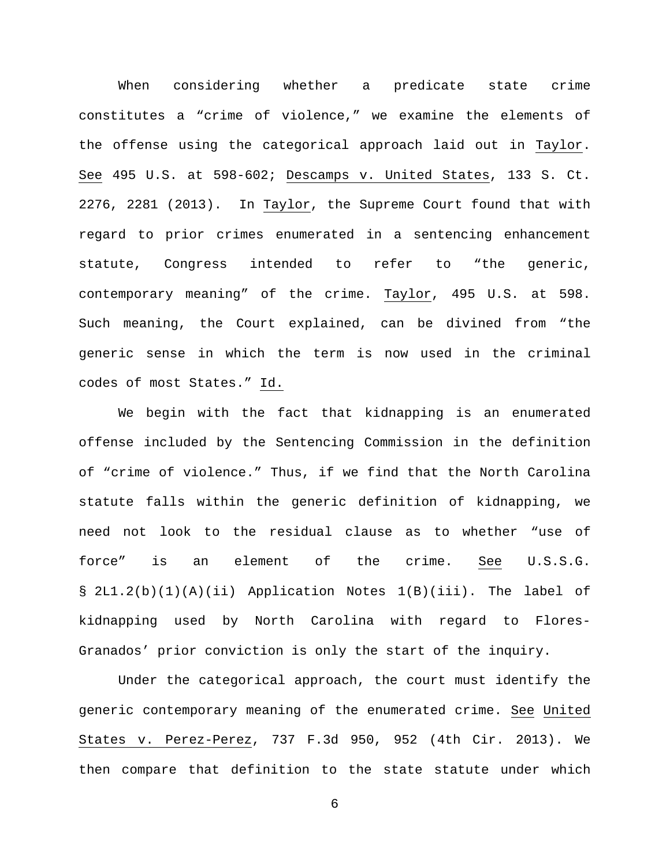When considering whether a predicate state crime constitutes a "crime of violence," we examine the elements of the offense using the categorical approach laid out in Taylor. See 495 U.S. at 598-602; Descamps v. United States, 133 S. Ct. 2276, 2281 (2013). In Taylor, the Supreme Court found that with regard to prior crimes enumerated in a sentencing enhancement statute, Congress intended to refer to "the generic, contemporary meaning" of the crime. Taylor, 495 U.S. at 598. Such meaning, the Court explained, can be divined from "the generic sense in which the term is now used in the criminal codes of most States." Id.

We begin with the fact that kidnapping is an enumerated offense included by the Sentencing Commission in the definition of "crime of violence." Thus, if we find that the North Carolina statute falls within the generic definition of kidnapping, we need not look to the residual clause as to whether "use of force" is an element of the crime. <u>See</u> U.S.S.G. § 2L1.2(b)(1)(A)(ii) Application Notes 1(B)(iii). The label of kidnapping used by North Carolina with regard to Flores-Granados' prior conviction is only the start of the inquiry.

Under the categorical approach, the court must identify the generic contemporary meaning of the enumerated crime. See United States v. Perez-Perez, 737 F.3d 950, 952 (4th Cir. 2013). We then compare that definition to the state statute under which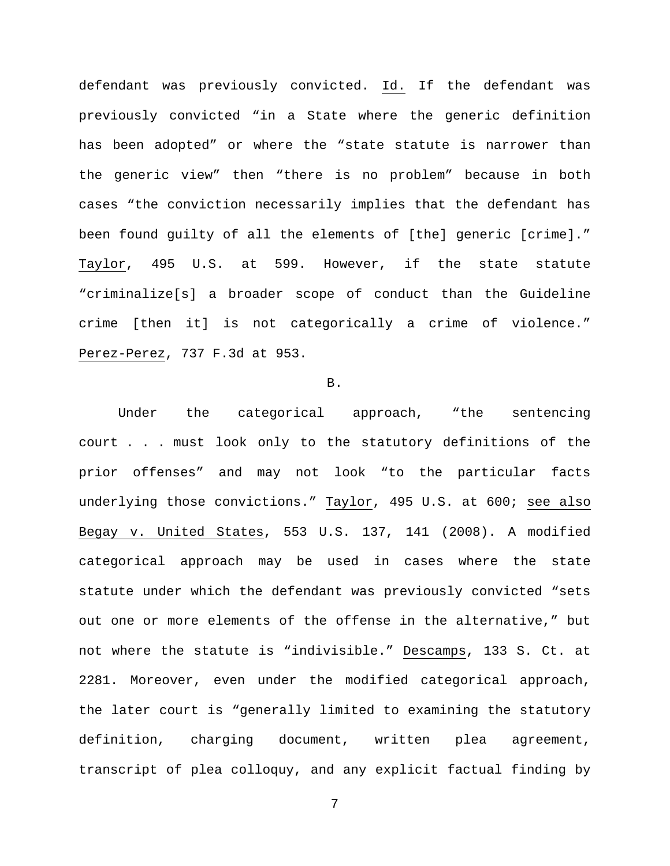defendant was previously convicted. Id. If the defendant was previously convicted "in a State where the generic definition has been adopted" or where the "state statute is narrower than the generic view" then "there is no problem" because in both cases "the conviction necessarily implies that the defendant has been found guilty of all the elements of [the] generic [crime]." Taylor, 495 U.S. at 599. However, if the state statute "criminalize[s] a broader scope of conduct than the Guideline crime [then it] is not categorically a crime of violence." Perez-Perez, 737 F.3d at 953.

#### B.

Under the categorical approach, "the sentencing court . . . must look only to the statutory definitions of the prior offenses" and may not look "to the particular facts underlying those convictions." Taylor, 495 U.S. at 600; see also Begay v. United States, 553 U.S. 137, 141 (2008). A modified categorical approach may be used in cases where the state statute under which the defendant was previously convicted "sets out one or more elements of the offense in the alternative," but not where the statute is "indivisible." Descamps, 133 S. Ct. at 2281. Moreover, even under the modified categorical approach, the later court is "generally limited to examining the statutory definition, charging document, written plea agreement, transcript of plea colloquy, and any explicit factual finding by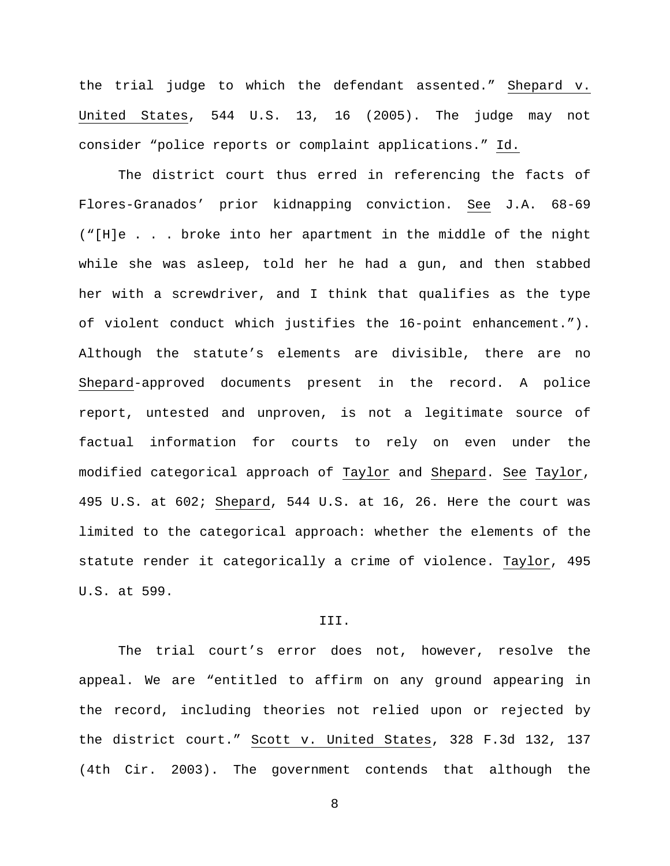the trial judge to which the defendant assented." Shepard v. United States, 544 U.S. 13, 16 (2005). The judge may not consider "police reports or complaint applications." Id.

The district court thus erred in referencing the facts of Flores-Granados' prior kidnapping conviction. See J.A. 68-69 ("[H]e . . . broke into her apartment in the middle of the night while she was asleep, told her he had a gun, and then stabbed her with a screwdriver, and I think that qualifies as the type of violent conduct which justifies the 16-point enhancement."). Although the statute's elements are divisible, there are no Shepard-approved documents present in the record. A police report, untested and unproven, is not a legitimate source of factual information for courts to rely on even under the modified categorical approach of Taylor and Shepard. See Taylor, 495 U.S. at 602; Shepard, 544 U.S. at 16, 26. Here the court was limited to the categorical approach: whether the elements of the statute render it categorically a crime of violence. Taylor, 495 U.S. at 599.

# III.

The trial court's error does not, however, resolve the appeal. We are "entitled to affirm on any ground appearing in the record, including theories not relied upon or rejected by the district court." Scott v. United States, 328 F.3d 132, 137 (4th Cir. 2003). The government contends that although the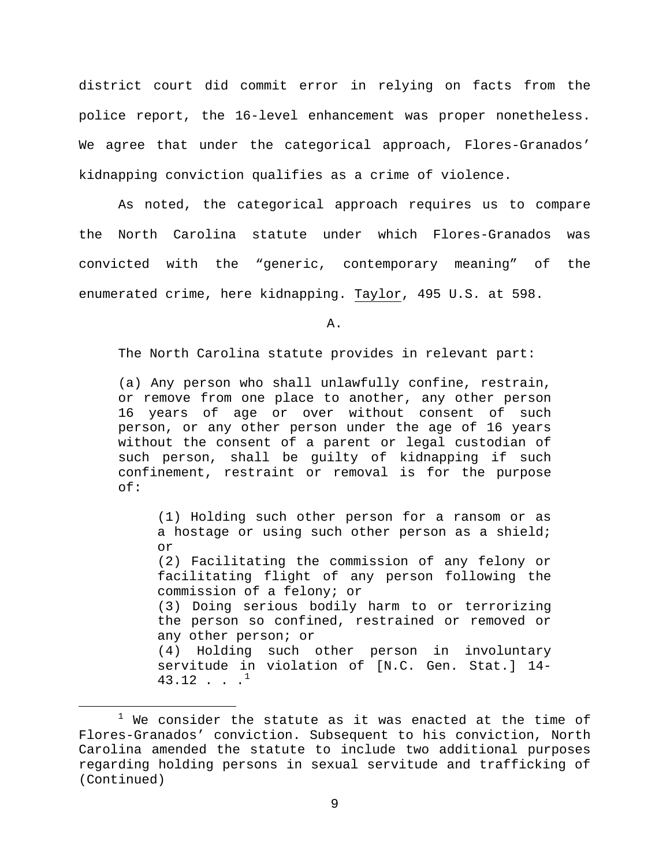district court did commit error in relying on facts from the police report, the 16-level enhancement was proper nonetheless. We agree that under the categorical approach, Flores-Granados' kidnapping conviction qualifies as a crime of violence.

As noted, the categorical approach requires us to compare the North Carolina statute under which Flores-Granados was convicted with the "generic, contemporary meaning" of the enumerated crime, here kidnapping. Taylor, 495 U.S. at 598.

A.

The North Carolina statute provides in relevant part:

(a) Any person who shall unlawfully confine, restrain, or remove from one place to another, any other person 16 years of age or over without consent of such person, or any other person under the age of 16 years without the consent of a parent or legal custodian of such person, shall be guilty of kidnapping if such confinement, restraint or removal is for the purpose of:

(1) Holding such other person for a ransom or as a hostage or using such other person as a shield; or (2) Facilitating the commission of any felony or facilitating flight of any person following the commission of a felony; or (3) Doing serious bodily harm to or terrorizing the person so confined, restrained or removed or any other person; or (4) Holding such other person in involuntary servitude in violation of [N.C. Gen. Stat.] 14-  $43.12 \cdot \cdot \cdot \cdot$  $43.12 \cdot \cdot \cdot \cdot$  $43.12 \cdot \cdot \cdot \cdot$ <sup>1</sup>

<span id="page-8-0"></span> $1$  We consider the statute as it was enacted at the time of Flores-Granados' conviction. Subsequent to his conviction, North Carolina amended the statute to include two additional purposes regarding holding persons in sexual servitude and trafficking of (Continued)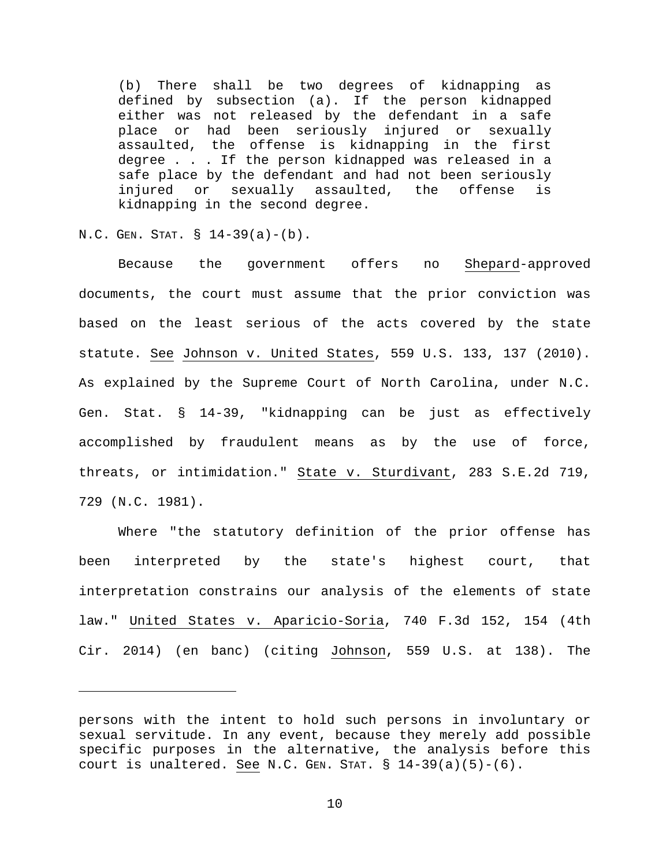(b) There shall be two degrees of kidnapping as defined by subsection (a). If the person kidnapped either was not released by the defendant in a safe place or had been seriously injured or sexually assaulted, the offense is kidnapping in the first degree . . . If the person kidnapped was released in a safe place by the defendant and had not been seriously injured or sexually assaulted, the offense is kidnapping in the second degree.

N.C. GEN. STAT. § 14-39(a)-(b).

Ĩ.

Because the government offers no Shepard-approved documents, the court must assume that the prior conviction was based on the least serious of the acts covered by the state statute. See Johnson v. United States, 559 U.S. 133, 137 (2010). As explained by the Supreme Court of North Carolina, under N.C. Gen. Stat. § 14-39, "kidnapping can be just as effectively accomplished by fraudulent means as by the use of force, threats, or intimidation." State v. Sturdivant, 283 S.E.2d 719, 729 (N.C. 1981).

Where "the statutory definition of the prior offense has been interpreted by the state's highest court, that interpretation constrains our analysis of the elements of state law." United States v. Aparicio-Soria, 740 F.3d 152, 154 (4th Cir. 2014) (en banc) (citing Johnson, 559 U.S. at 138). The

persons with the intent to hold such persons in involuntary or sexual servitude. In any event, because they merely add possible specific purposes in the alternative, the analysis before this court is unaltered. See N.C. GEN. STAT.  $\S$  14-39(a)(5)-(6).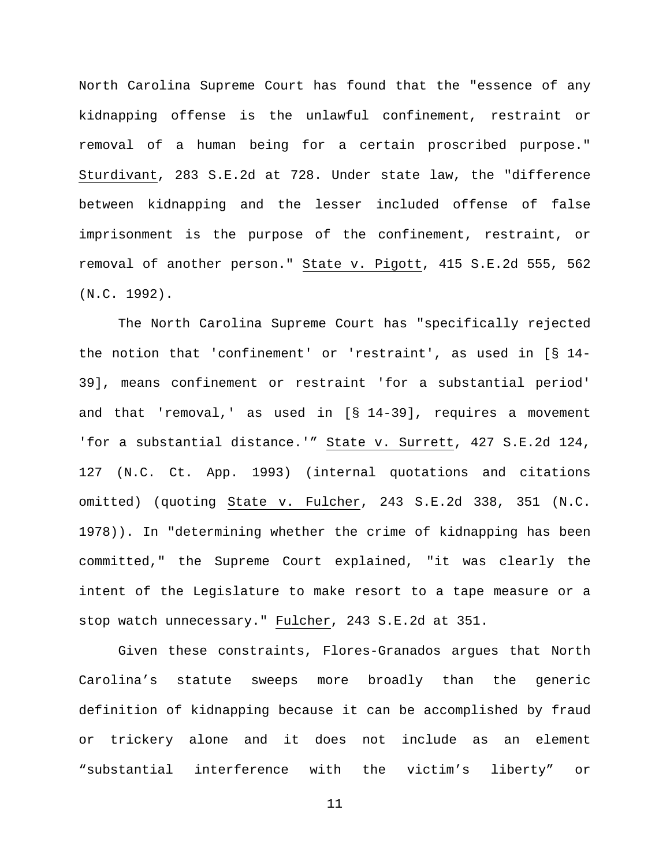North Carolina Supreme Court has found that the "essence of any kidnapping offense is the unlawful confinement, restraint or removal of a human being for a certain proscribed purpose." Sturdivant, 283 S.E.2d at 728. Under state law, the "difference between kidnapping and the lesser included offense of false imprisonment is the purpose of the confinement, restraint, or removal of another person." State v. Pigott, 415 S.E.2d 555, 562 (N.C. 1992).

The North Carolina Supreme Court has "specifically rejected the notion that 'confinement' or 'restraint', as used in [§ 14- 39], means confinement or restraint 'for a substantial period' and that 'removal,' as used in [§ 14-39], requires a movement 'for a substantial distance.'" State v. Surrett, 427 S.E.2d 124, 127 (N.C. Ct. App. 1993) (internal quotations and citations omitted) (quoting State v. Fulcher, 243 S.E.2d 338, 351 (N.C. 1978)). In "determining whether the crime of kidnapping has been committed," the Supreme Court explained, "it was clearly the intent of the Legislature to make resort to a tape measure or a stop watch unnecessary." Fulcher, 243 S.E.2d at 351.

Given these constraints, Flores-Granados argues that North Carolina's statute sweeps more broadly than the generic definition of kidnapping because it can be accomplished by fraud or trickery alone and it does not include as an element "substantial interference with the victim's liberty" or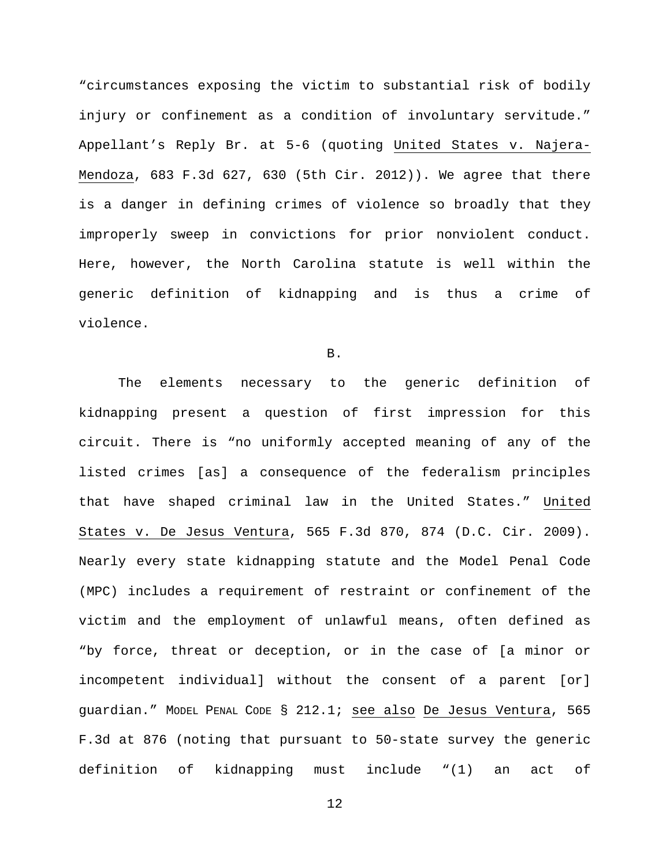"circumstances exposing the victim to substantial risk of bodily injury or confinement as a condition of involuntary servitude." Appellant's Reply Br. at 5-6 (quoting United States v. Najera-Mendoza, 683 F.3d 627, 630 (5th Cir. 2012)). We agree that there is a danger in defining crimes of violence so broadly that they improperly sweep in convictions for prior nonviolent conduct. Here, however, the North Carolina statute is well within the generic definition of kidnapping and is thus a crime of violence.

B.

The elements necessary to the generic definition of kidnapping present a question of first impression for this circuit. There is "no uniformly accepted meaning of any of the listed crimes [as] a consequence of the federalism principles that have shaped criminal law in the United States." United States v. De Jesus Ventura, 565 F.3d 870, 874 (D.C. Cir. 2009). Nearly every state kidnapping statute and the Model Penal Code (MPC) includes a requirement of restraint or confinement of the victim and the employment of unlawful means, often defined as "by force, threat or deception, or in the case of [a minor or incompetent individual] without the consent of a parent [or] guardian." MODEL PENAL CODE § 212.1; see also De Jesus Ventura, 565 F.3d at 876 (noting that pursuant to 50-state survey the generic definition of kidnapping must include "(1) an act of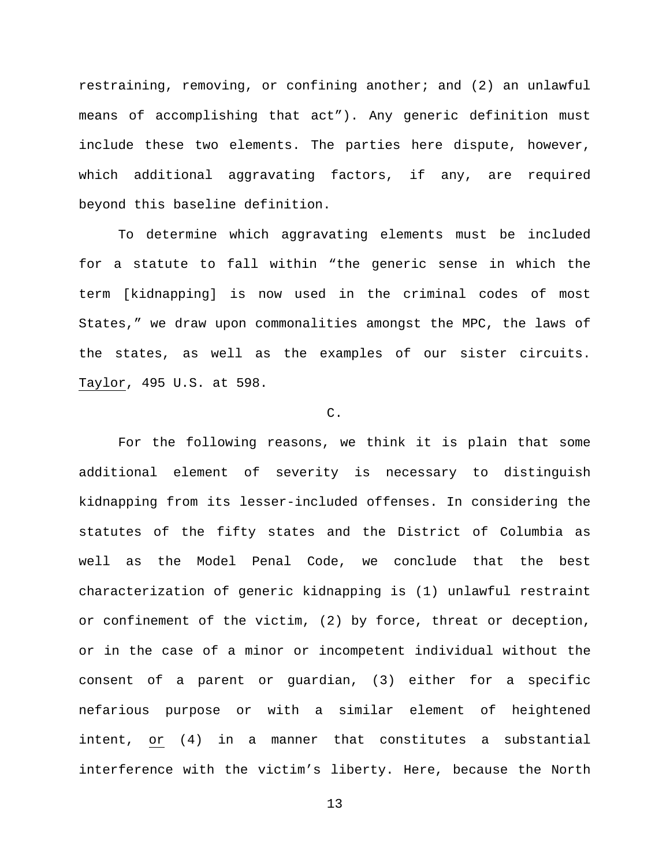restraining, removing, or confining another; and (2) an unlawful means of accomplishing that act"). Any generic definition must include these two elements. The parties here dispute, however, which additional aggravating factors, if any, are required beyond this baseline definition.

To determine which aggravating elements must be included for a statute to fall within "the generic sense in which the term [kidnapping] is now used in the criminal codes of most States," we draw upon commonalities amongst the MPC, the laws of the states, as well as the examples of our sister circuits. Taylor, 495 U.S. at 598.

## C.

For the following reasons, we think it is plain that some additional element of severity is necessary to distinguish kidnapping from its lesser-included offenses. In considering the statutes of the fifty states and the District of Columbia as well as the Model Penal Code, we conclude that the best characterization of generic kidnapping is (1) unlawful restraint or confinement of the victim, (2) by force, threat or deception, or in the case of a minor or incompetent individual without the consent of a parent or guardian, (3) either for a specific nefarious purpose or with a similar element of heightened intent, or (4) in a manner that constitutes a substantial interference with the victim's liberty. Here, because the North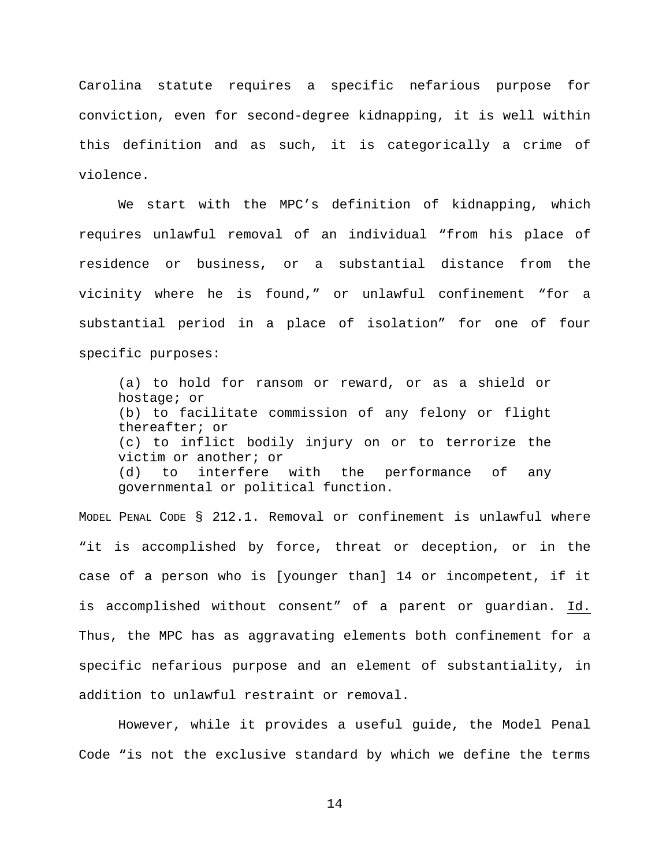Carolina statute requires a specific nefarious purpose for conviction, even for second-degree kidnapping, it is well within this definition and as such, it is categorically a crime of violence.

We start with the MPC's definition of kidnapping, which requires unlawful removal of an individual "from his place of residence or business, or a substantial distance from the vicinity where he is found," or unlawful confinement "for a substantial period in a place of isolation" for one of four specific purposes:

(a) to hold for ransom or reward, or as a shield or hostage; or (b) to facilitate commission of any felony or flight thereafter; or (c) to inflict bodily injury on or to terrorize the victim or another; or<br>(d) to interfere (d) to interfere with the performance of any governmental or political function.

MODEL PENAL CODE § 212.1. Removal or confinement is unlawful where "it is accomplished by force, threat or deception, or in the case of a person who is [younger than] 14 or incompetent, if it is accomplished without consent" of a parent or guardian. Id. Thus, the MPC has as aggravating elements both confinement for a specific nefarious purpose and an element of substantiality, in addition to unlawful restraint or removal.

However, while it provides a useful guide, the Model Penal Code "is not the exclusive standard by which we define the terms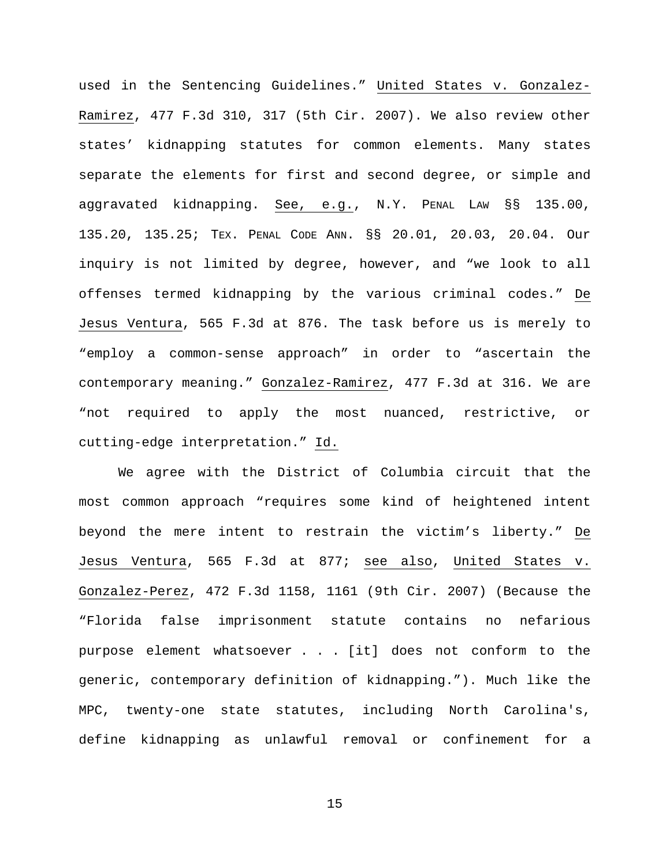used in the Sentencing Guidelines." United States v. Gonzalez-Ramirez, 477 F.3d 310, 317 (5th Cir. 2007). We also review other states' kidnapping statutes for common elements. Many states separate the elements for first and second degree, or simple and aggravated kidnapping. See, e.g., N.Y. PENAL LAW §§ 135.00, 135.20, 135.25; TEX. PENAL CODE ANN. §§ 20.01, 20.03, 20.04. Our inquiry is not limited by degree, however, and "we look to all offenses termed kidnapping by the various criminal codes." De Jesus Ventura, 565 F.3d at 876. The task before us is merely to "employ a common-sense approach" in order to "ascertain the contemporary meaning." Gonzalez-Ramirez, 477 F.3d at 316. We are "not required to apply the most nuanced, restrictive, or cutting-edge interpretation." Id.

We agree with the District of Columbia circuit that the most common approach "requires some kind of heightened intent beyond the mere intent to restrain the victim's liberty." De Jesus Ventura, 565 F.3d at 877; see also, United States v. Gonzalez-Perez, 472 F.3d 1158, 1161 (9th Cir. 2007) (Because the "Florida false imprisonment statute contains no nefarious purpose element whatsoever . . . [it] does not conform to the generic, contemporary definition of kidnapping."). Much like the MPC, twenty-one state statutes, including North Carolina's, define kidnapping as unlawful removal or confinement for a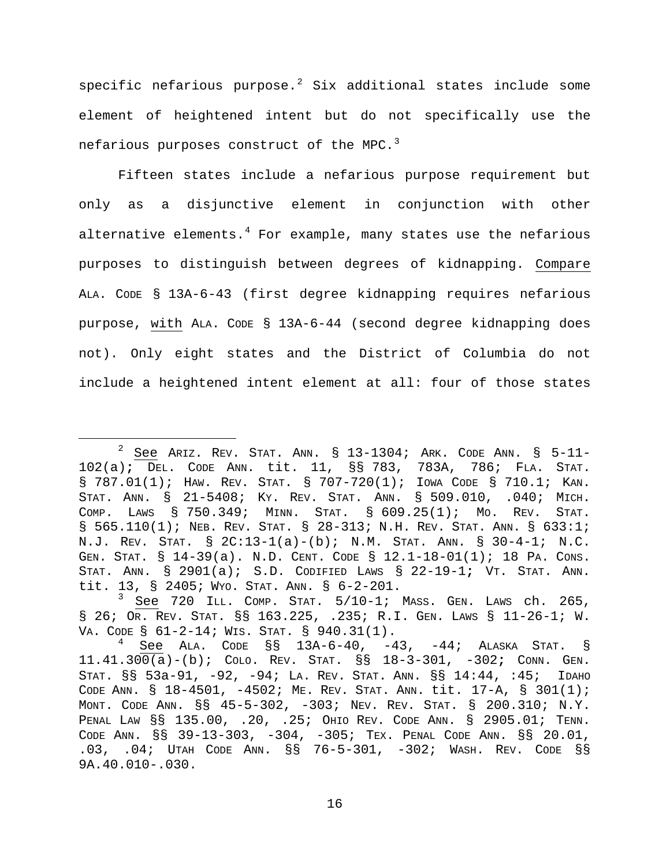specific nefarious purpose. $2$  Six additional states include some element of heightened intent but do not specifically use the nefarious purposes construct of the MPC.<sup>[3](#page-15-1)</sup>

Fifteen states include a nefarious purpose requirement but only as a disjunctive element in conjunction with other alternative elements. $4$  For example, many states use the nefarious purposes to distinguish between degrees of kidnapping. Compare ALA. CODE § 13A-6-43 (first degree kidnapping requires nefarious purpose, with ALA. CODE § 13A-6-44 (second degree kidnapping does not). Only eight states and the District of Columbia do not include a heightened intent element at all: four of those states

<span id="page-15-0"></span> $2$  See Ariz. REV. STAT. ANN. § 13-1304; ARK. CODE ANN. § 5-11-102(a)**;** DEL. CODE ANN. tit. 11, §§ 783, 783A, 786; FLA. STAT. § 787.01(1); HAW. REV. STAT. § 707-720(1); IOWA CODE § 710.1; KAN. STAT. ANN. § 21-5408; KY. REV. STAT. ANN. § 509.010, .040; MICH. COMP. LAWS § 750.349; MINN. STAT. § 609.25(1); MO. REV. STAT. § 565.110(1); NEB. REV. STAT. § 28-313; N.H. REV. STAT. ANN. § 633:1; N.J. REV. STAT. § 2C:13-1(a)-(b); N.M. STAT. ANN. § 30-4-1; N.C. GEN. STAT. § 14-39(a). N.D. CENT. CODE § 12.1-18-01(1); 18 PA. CONS. STAT. ANN. § 2901(a); S.D. CODIFIED LAWS § 22-19-1**;** VT. STAT. ANN. tit. 13, § 2405; WYO. STAT. ANN. § 6-2-201.

<span id="page-15-1"></span><sup>3</sup> See 720 ILL. COMP. STAT. 5/10-1; MASS. GEN. LAWS ch. 265, § 26; OR. REV. STAT. §§ 163.225, .235; R.I. GEN. LAWS § 11-26-1; W.<br>VA. CODE § 61-2-14; WIS. STAT. § 940.31(1).

<span id="page-15-2"></span> $^4$  See Ala. Code §§ 13A-6-40, -43, -44; Alaska Stat. § 11.41.300(a)-(b); COLO. REV. STAT. §§ 18-3-301, -302**;** CONN. GEN. STAT. §§ 53a-91, -92, -94; LA. REV. STAT. ANN. §§ 14:44, :45;IDAHO CODE ANN. § 18-4501, -4502; ME. REV. STAT. ANN. tit. 17-A, § 301(1); MONT. CODE ANN. §§ 45-5-302, -303; NEV. REV. STAT. § 200.310; N.Y. PENAL LAW §§ 135.00, .20, .25; OHIO REV. CODE ANN. § 2905.01; TENN. CODE ANN. §§ 39-13-303, -304, -305; TEX. PENAL CODE ANN. §§ 20.01, .03, .04; UTAH CODE ANN. §§ 76-5-301, -302; WASH. REV. CODE §§ 9A.40.010-.030.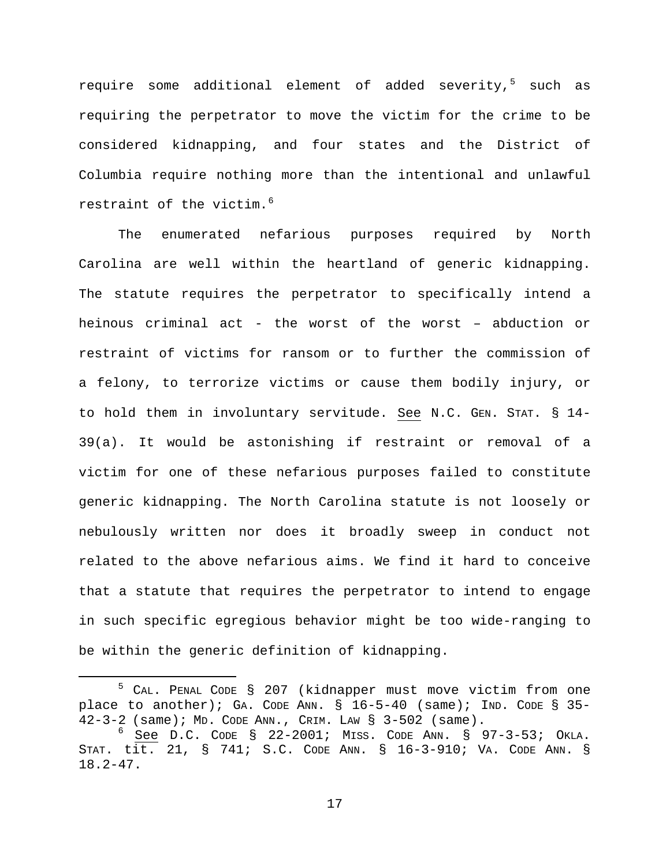require some additional element of added severity, $5$  such as requiring the perpetrator to move the victim for the crime to be considered kidnapping, and four states and the District of Columbia require nothing more than the intentional and unlawful restraint of the victim.<sup>[6](#page-16-1)</sup>

The enumerated nefarious purposes required by North Carolina are well within the heartland of generic kidnapping. The statute requires the perpetrator to specifically intend a heinous criminal act - the worst of the worst – abduction or restraint of victims for ransom or to further the commission of a felony, to terrorize victims or cause them bodily injury, or to hold them in involuntary servitude. See N.C. GEN. STAT. § 14- 39(a). It would be astonishing if restraint or removal of a victim for one of these nefarious purposes failed to constitute generic kidnapping. The North Carolina statute is not loosely or nebulously written nor does it broadly sweep in conduct not related to the above nefarious aims. We find it hard to conceive that a statute that requires the perpetrator to intend to engage in such specific egregious behavior might be too wide-ranging to be within the generic definition of kidnapping.

<span id="page-16-0"></span> <sup>5</sup> CAL. PENAL CODE § 207 (kidnapper must move victim from one place to another); GA. CODE ANN.  $\S$  16-5-40 (same); IND. CODE  $\S$  35-42-3-2 (same); MD. CODE ANN., CRIM. LAW § 3-502 (same).

<span id="page-16-1"></span> $6$  See D.C. CODE § 22-2001; MISS. CODE ANN. § 97-3-53; OKLA. STAT. tit. 21, § 741; S.C. CODE ANN. § 16-3-910; VA. CODE ANN. § 18.2-47.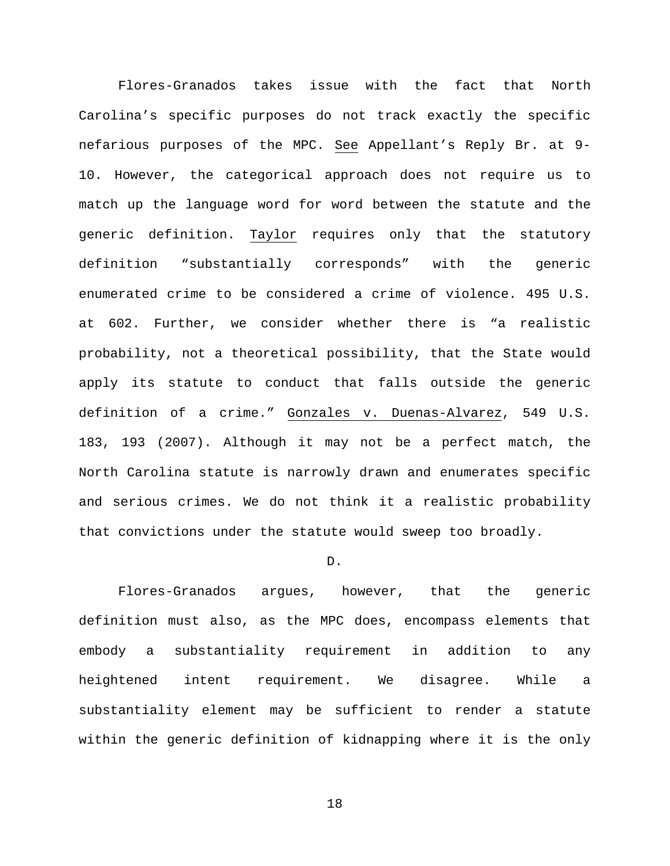Flores-Granados takes issue with the fact that North Carolina's specific purposes do not track exactly the specific nefarious purposes of the MPC. See Appellant's Reply Br. at 9- 10. However, the categorical approach does not require us to match up the language word for word between the statute and the generic definition. Taylor requires only that the statutory definition "substantially corresponds" with the generic enumerated crime to be considered a crime of violence. 495 U.S. at 602. Further, we consider whether there is "a realistic probability, not a theoretical possibility, that the State would apply its statute to conduct that falls outside the generic definition of a crime." Gonzales v. Duenas-Alvarez, 549 U.S. 183, 193 (2007). Although it may not be a perfect match, the North Carolina statute is narrowly drawn and enumerates specific and serious crimes. We do not think it a realistic probability that convictions under the statute would sweep too broadly.

#### D.

Flores-Granados argues, however, that the generic definition must also, as the MPC does, encompass elements that embody a substantiality requirement in addition to any heightened intent requirement. We disagree. While a substantiality element may be sufficient to render a statute within the generic definition of kidnapping where it is the only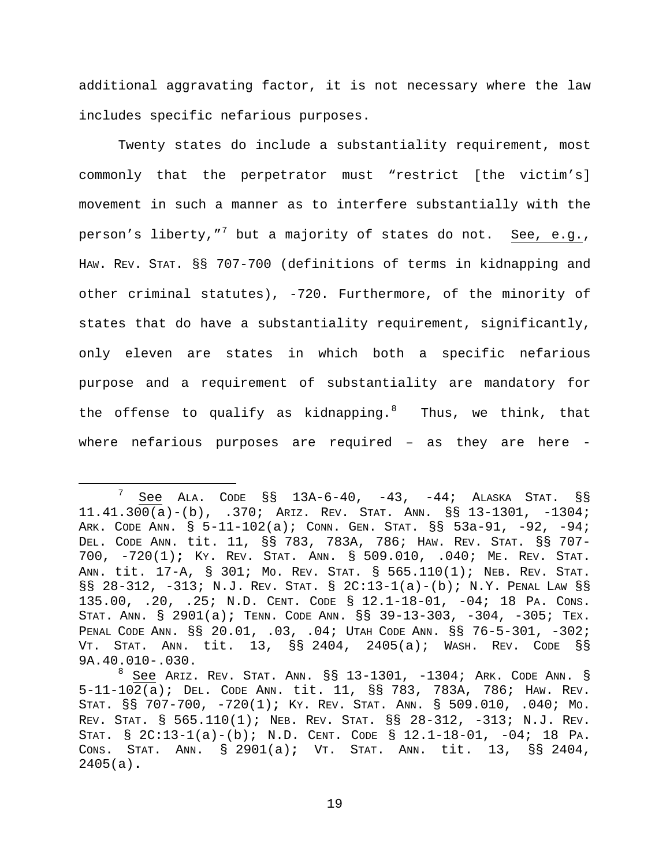additional aggravating factor, it is not necessary where the law includes specific nefarious purposes.

Twenty states do include a substantiality requirement, most commonly that the perpetrator must "restrict [the victim's] movement in such a manner as to interfere substantially with the person's liberty,"<sup>[7](#page-18-0)</sup> but a majority of states do not. See, e.g., HAW. REV. STAT. §§ 707-700 (definitions of terms in kidnapping and other criminal statutes), -720. Furthermore, of the minority of states that do have a substantiality requirement, significantly, only eleven are states in which both a specific nefarious purpose and a requirement of substantiality are mandatory for the offense to qualify as kidnapping.<sup>[8](#page-18-1)</sup> Thus, we think, that where nefarious purposes are required - as they are here -

<span id="page-18-0"></span> $\frac{7}{1}$  See ALA. CODE SS 13A-6-40, -43, -44; ALASKA STAT. SS 11.41.300(a)-(b), .370; ARIZ. REV. STAT. ANN. §§ 13-1301, -1304; ARK. CODE ANN. § 5-11-102(a); CONN. GEN. STAT. §§ 53a-91, -92, -94; DEL. CODE ANN. tit. 11, §§ 783, 783A, 786; HAW. REV. STAT. §§ 707- 700, -720(1)**;** KY. REV. STAT. ANN. § 509.010, .040; ME. REV. STAT. ANN. tit. 17-A, § 301; MO. REV. STAT. § 565.110(1); NEB. REV. STAT. §§ 28-312, -313; N.J. REV. STAT. § 2C:13-1(a)-(b); N.Y. PENAL LAW §§ 135.00, .20, .25; N.D. CENT. CODE § 12.1-18-01, -04; 18 PA. CONS. STAT. ANN. § 2901(a)**;** TENN. CODE ANN. §§ 39-13-303, -304, -305; TEX. PENAL CODE ANN. §§ 20.01, .03, .04; UTAH CODE ANN. §§ 76-5-301, -302; VT. STAT. ANN. tit. 13, §§ 2404, 2405(a); WASH. REV. CODE §§ 9A.40.010-.030.

<span id="page-18-1"></span> $8$  See Ariz. REV. STAT. ANN.  $\S$  $\S$  13-1301, -1304; ARK. CODE ANN.  $\S$ 5-11-102(a); DEL. CODE ANN. tit. 11, §§ 783, 783A, 786; HAW. REV. STAT. §§ 707-700, -720(1)**;** KY. REV. STAT. ANN. § 509.010, .040; MO. REV. STAT. § 565.110(1); NEB. REV. STAT. §§ 28-312, -313; N.J. REV. STAT. § 2C:13-1(a)-(b); N.D. CENT. CODE § 12.1-18-01, -04; 18 PA. CONS. STAT. ANN. § 2901(a)**;** VT. STAT. ANN. tit. 13, §§ 2404, 2405(a)**.**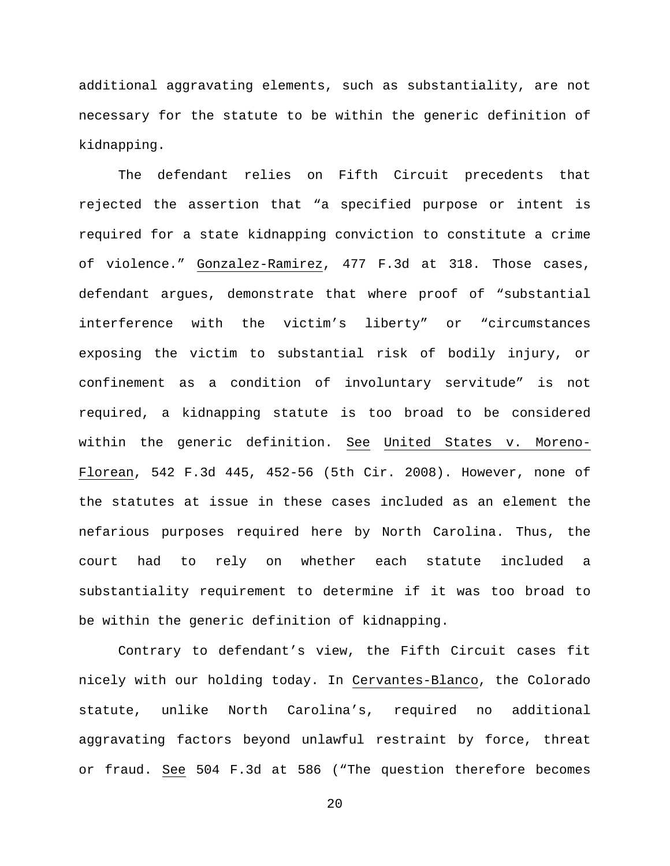additional aggravating elements, such as substantiality, are not necessary for the statute to be within the generic definition of kidnapping.

The defendant relies on Fifth Circuit precedents that rejected the assertion that "a specified purpose or intent is required for a state kidnapping conviction to constitute a crime of violence." Gonzalez-Ramirez, 477 F.3d at 318. Those cases, defendant argues, demonstrate that where proof of "substantial interference with the victim's liberty" or "circumstances exposing the victim to substantial risk of bodily injury, or confinement as a condition of involuntary servitude" is not required, a kidnapping statute is too broad to be considered within the generic definition. See United States v. Moreno-Florean, 542 F.3d 445, 452-56 (5th Cir. 2008). However, none of the statutes at issue in these cases included as an element the nefarious purposes required here by North Carolina. Thus, the court had to rely on whether each statute included a substantiality requirement to determine if it was too broad to be within the generic definition of kidnapping.

Contrary to defendant's view, the Fifth Circuit cases fit nicely with our holding today. In Cervantes-Blanco, the Colorado statute, unlike North Carolina's, required no additional aggravating factors beyond unlawful restraint by force, threat or fraud. See 504 F.3d at 586 ("The question therefore becomes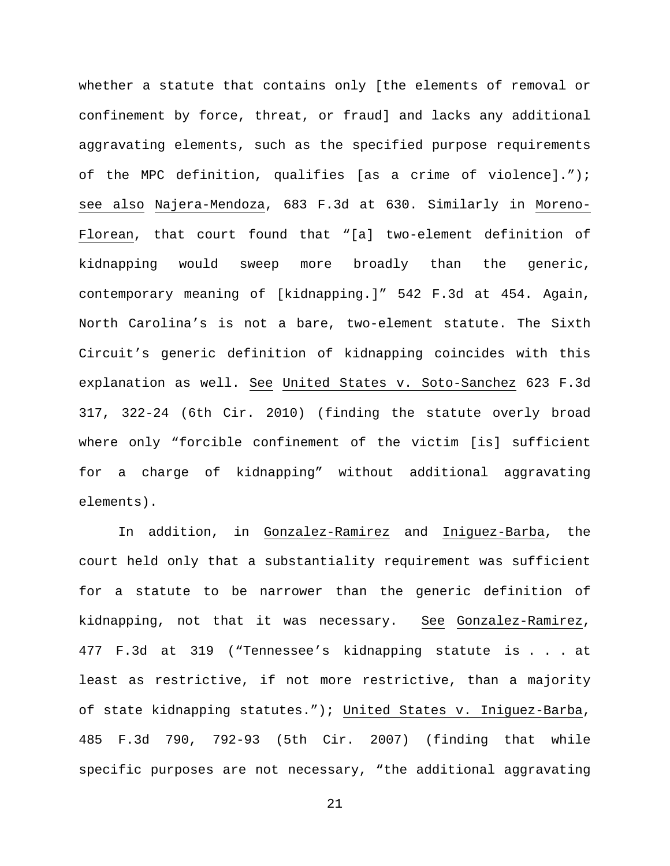whether a statute that contains only [the elements of removal or confinement by force, threat, or fraud] and lacks any additional aggravating elements, such as the specified purpose requirements of the MPC definition, qualifies [as a crime of violence]."); see also Najera-Mendoza, 683 F.3d at 630. Similarly in Moreno-Florean, that court found that "[a] two-element definition of kidnapping would sweep more broadly than the generic, contemporary meaning of [kidnapping.]" 542 F.3d at 454. Again, North Carolina's is not a bare, two-element statute. The Sixth Circuit's generic definition of kidnapping coincides with this explanation as well. See United States v. Soto-Sanchez 623 F.3d 317, 322-24 (6th Cir. 2010) (finding the statute overly broad where only "forcible confinement of the victim [is] sufficient for a charge of kidnapping" without additional aggravating elements).

In addition, in Gonzalez-Ramirez and Iniguez-Barba, the court held only that a substantiality requirement was sufficient for a statute to be narrower than the generic definition of kidnapping, not that it was necessary. See Gonzalez-Ramirez, 477 F.3d at 319 ("Tennessee's kidnapping statute is . . . at least as restrictive, if not more restrictive, than a majority of state kidnapping statutes."); United States v. Iniguez-Barba, 485 F.3d 790, 792-93 (5th Cir. 2007) (finding that while specific purposes are not necessary, "the additional aggravating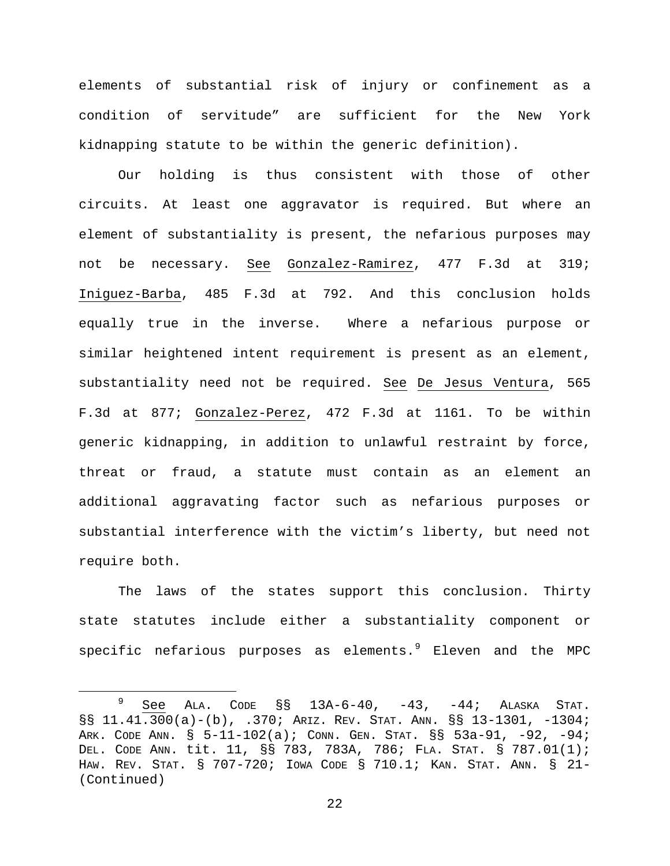elements of substantial risk of injury or confinement as a condition of servitude" are sufficient for the New York kidnapping statute to be within the generic definition).

Our holding is thus consistent with those of other circuits. At least one aggravator is required. But where an element of substantiality is present, the nefarious purposes may not be necessary. See Gonzalez-Ramirez, 477 F.3d at 319; Iniguez-Barba, 485 F.3d at 792. And this conclusion holds equally true in the inverse. Where a nefarious purpose or similar heightened intent requirement is present as an element, substantiality need not be required. See De Jesus Ventura, 565 F.3d at 877; Gonzalez-Perez, 472 F.3d at 1161. To be within generic kidnapping, in addition to unlawful restraint by force, threat or fraud, a statute must contain as an element an additional aggravating factor such as nefarious purposes or substantial interference with the victim's liberty, but need not require both.

The laws of the states support this conclusion. Thirty state statutes include either a substantiality component or specific nefarious purposes as elements. $9$  Eleven and the MPC

<span id="page-21-0"></span> $9$  See ALA. CODE  $\S$ § 13A-6-40, -43, -44; ALASKA STAT. §§ 11.41.300(a)-(b), .370; ARIZ. REV. STAT. ANN. §§ 13-1301, -1304; ARK. CODE ANN. § 5-11-102(a); CONN. GEN. STAT. §§ 53a-91, -92, -94; DEL. CODE ANN. tit. 11, §§ 783, 783A, 786; FLA. STAT. § 787.01(1); HAW. REV. STAT. § 707-720; IOWA CODE § 710.1; KAN. STAT. ANN. § 21- (Continued)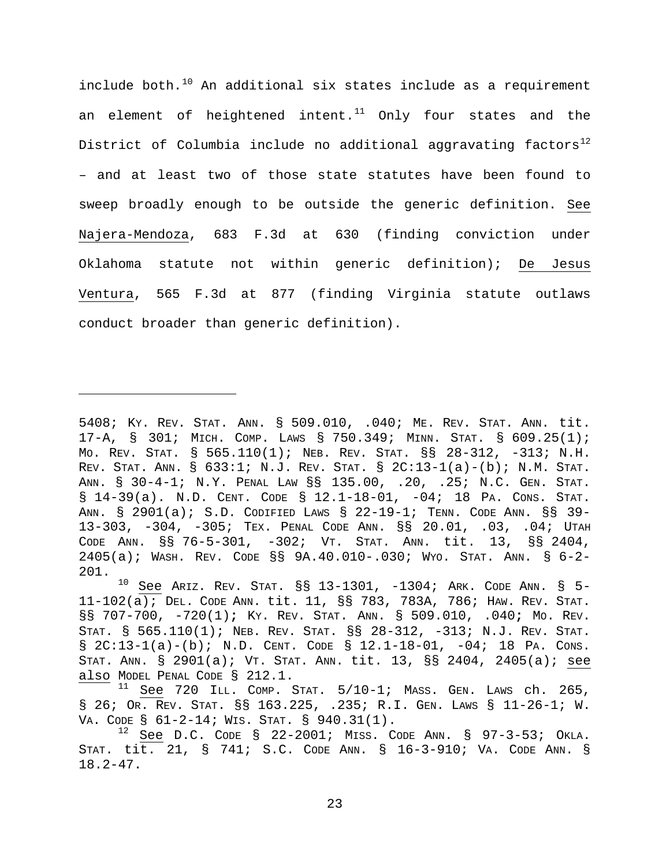include both. $10$  An additional six states include as a requirement an element of heightened intent. $11$  Only four states and the District of Columbia include no additional aggravating factors<sup>[12](#page-22-2)</sup> – and at least two of those state statutes have been found to sweep broadly enough to be outside the generic definition. See Najera-Mendoza, 683 F.3d at 630 (finding conviction under Oklahoma statute not within generic definition); De Jesus Ventura, 565 F.3d at 877 (finding Virginia statute outlaws conduct broader than generic definition).

Ĩ.

<sup>5408;</sup> KY. REV. STAT. ANN. § 509.010, .040; ME. REV. STAT. ANN. tit. 17-A, § 301; MICH. COMP. LAWS § 750.349; MINN. STAT. § 609.25(1); MO. REV. STAT. § 565.110(1); NEB. REV. STAT. §§ 28-312, -313; N.H. REV. STAT. ANN. § 633:1; N.J. REV. STAT. § 2C:13-1(a)-(b); N.M. STAT. ANN. § 30-4-1; N.Y. PENAL LAW §§ 135.00, .20, .25; N.C. GEN. STAT. § 14-39(a). N.D. CENT. CODE § 12.1-18-01, -04; 18 PA. CONS. STAT. ANN. § 2901(a); S.D. CODIFIED LAWS § 22-19-1; TENN. CODE ANN. §§ 39- 13-303, -304, -305; TEX. PENAL CODE ANN. §§ 20.01, .03, .04; UTAH CODE ANN. §§ 76-5-301, -302; VT. STAT. ANN. tit. 13, §§ 2404, 2405(a); WASH. REV. CODE §§ 9A.40.010-.030; WYO. STAT. ANN. § 6-2-  $201.$ <sub>10</sub>

<span id="page-22-0"></span>See ARIZ. REV. STAT. §§ 13-1301, -1304; ARK. CODE ANN. § 5-11-102(a); DEL. CODE ANN. tit. 11, §§ 783, 783A, 786; HAW. REV. STAT. §§ 707-700, -720(1)**;** KY. REV. STAT. ANN. § 509.010, .040**;** MO. REV. STAT. § 565.110(1); NEB. REV. STAT. §§ 28-312, -313; N.J. REV. STAT.  $\S$  2C:13-1(a)-(b); N.D. CENT. CODE  $\S$  12.1-18-01, -04; 18 PA. CONS. STAT. ANN. § 2901(a); VT. STAT. ANN. tit. 13, §§ 2404, 2405(a); see also MODEL PENAL CODE § 212.1.

<span id="page-22-1"></span> $11$  See 720 ILL. COMP. STAT.  $5/10-1$ ; MASS. GEN. LAWS ch. 265, § 26; OR. REV. STAT. §§ 163.225, .235; R.I. GEN. LAWS § 11-26-1; W.<br>VA. CODE § 61-2-14; WIS. STAT. § 940.31(1).

<span id="page-22-2"></span><sup>&</sup>lt;sup>12</sup> See D.C. CODE § 22-2001; MISS. CODE ANN. § 97-3-53; OKLA. STAT. tit. 21, § 741; S.C. CODE ANN. § 16-3-910; VA. CODE ANN. § 18.2-47.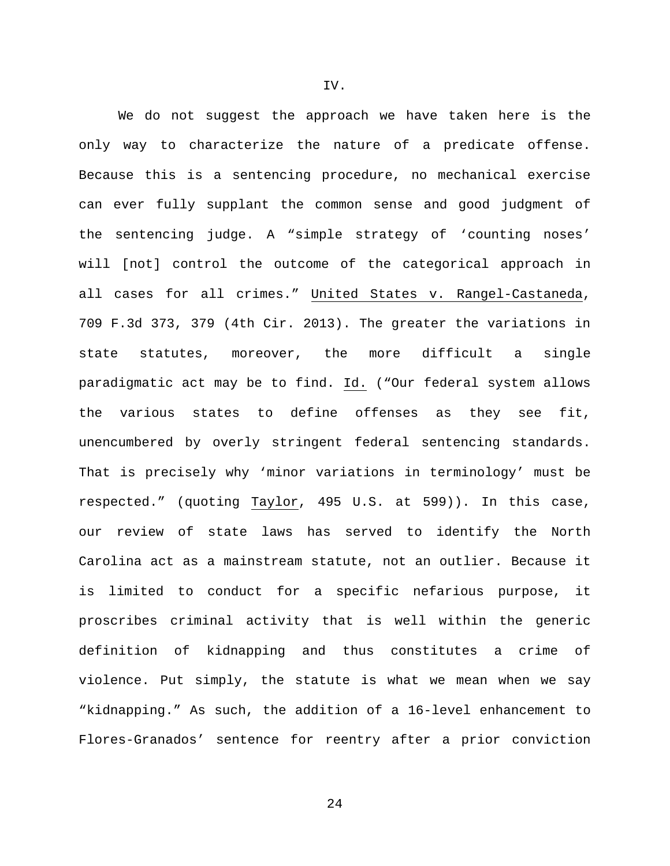We do not suggest the approach we have taken here is the only way to characterize the nature of a predicate offense. Because this is a sentencing procedure, no mechanical exercise can ever fully supplant the common sense and good judgment of the sentencing judge. A "simple strategy of 'counting noses' will [not] control the outcome of the categorical approach in all cases for all crimes." United States v. Rangel-Castaneda, 709 F.3d 373, 379 (4th Cir. 2013). The greater the variations in state statutes, moreover, the more difficult a single paradigmatic act may be to find. Id. ("Our federal system allows the various states to define offenses as they see fit, unencumbered by overly stringent federal sentencing standards. That is precisely why 'minor variations in terminology' must be respected." (quoting Taylor, 495 U.S. at 599)). In this case, our review of state laws has served to identify the North Carolina act as a mainstream statute, not an outlier. Because it is limited to conduct for a specific nefarious purpose, it proscribes criminal activity that is well within the generic definition of kidnapping and thus constitutes a crime of violence. Put simply, the statute is what we mean when we say "kidnapping." As such, the addition of a 16-level enhancement to Flores-Granados' sentence for reentry after a prior conviction

IV.